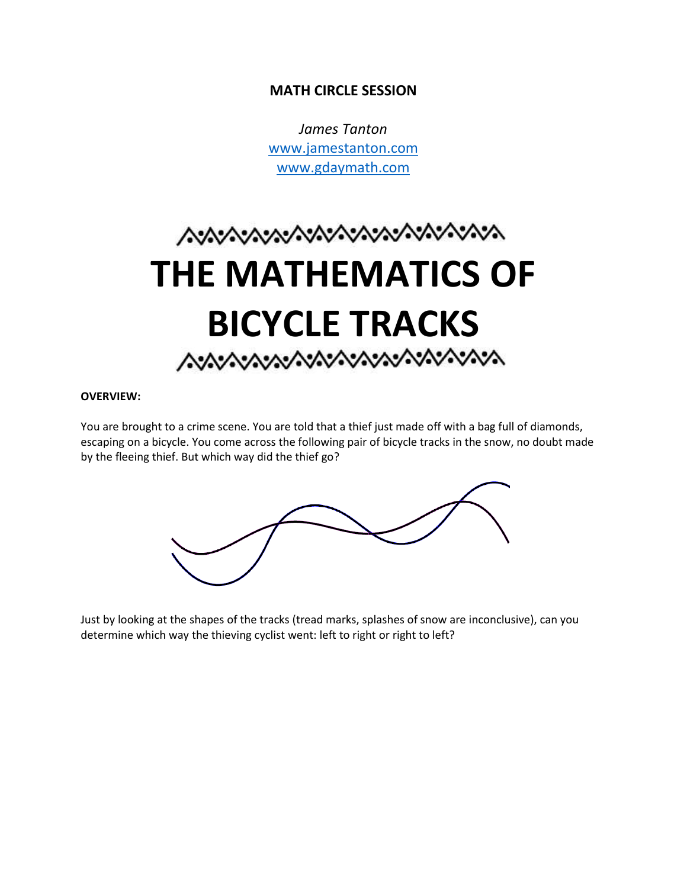## **MATH CIRCLE SESSION**

*James Tanton* [www.jamestanton.com](http://www.jamestanton.com/) [www.gdaymath.com](http://www.gdaymath.com/)

# へいいいいいいいいいいいいいいいい **THE MATHEMATICS OF BICYCLE TRACKS**

#### **OVERVIEW:**

You are brought to a crime scene. You are told that a thief just made off with a bag full of diamonds, escaping on a bicycle. You come across the following pair of bicycle tracks in the snow, no doubt made by the fleeing thief. But which way did the thief go?



Just by looking at the shapes of the tracks (tread marks, splashes of snow are inconclusive), can you determine which way the thieving cyclist went: left to right or right to left?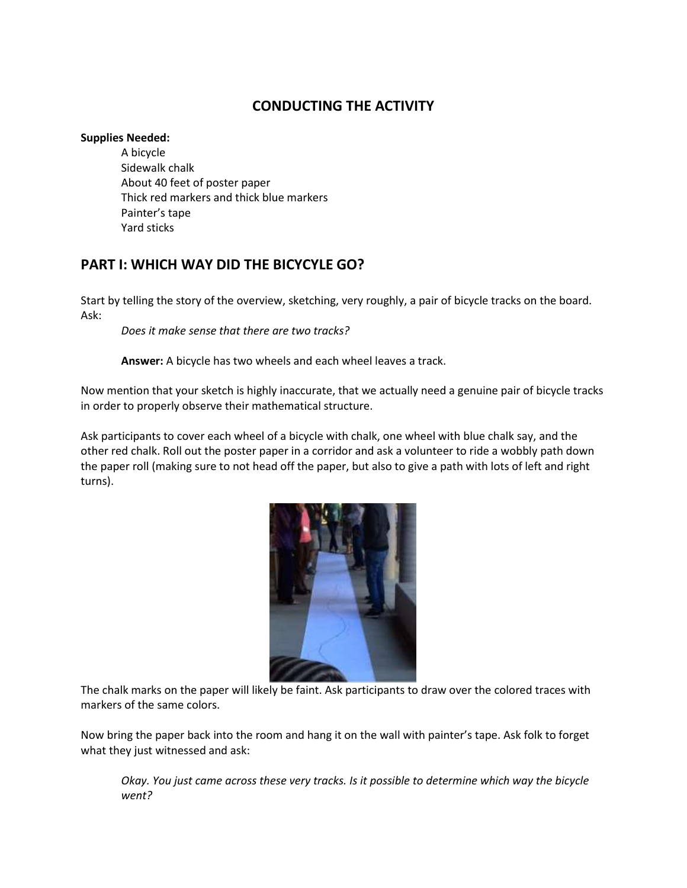# **CONDUCTING THE ACTIVITY**

#### **Supplies Needed:**

A bicycle Sidewalk chalk About 40 feet of poster paper Thick red markers and thick blue markers Painter's tape Yard sticks

# **PART I: WHICH WAY DID THE BICYCYLE GO?**

Start by telling the story of the overview, sketching, very roughly, a pair of bicycle tracks on the board. Ask:

*Does it make sense that there are two tracks?*

**Answer:** A bicycle has two wheels and each wheel leaves a track.

Now mention that your sketch is highly inaccurate, that we actually need a genuine pair of bicycle tracks in order to properly observe their mathematical structure.

Ask participants to cover each wheel of a bicycle with chalk, one wheel with blue chalk say, and the other red chalk. Roll out the poster paper in a corridor and ask a volunteer to ride a wobbly path down the paper roll (making sure to not head off the paper, but also to give a path with lots of left and right turns).



The chalk marks on the paper will likely be faint. Ask participants to draw over the colored traces with markers of the same colors.

Now bring the paper back into the room and hang it on the wall with painter's tape. Ask folk to forget what they just witnessed and ask:

*Okay. You just came across these very tracks. Is it possible to determine which way the bicycle went?*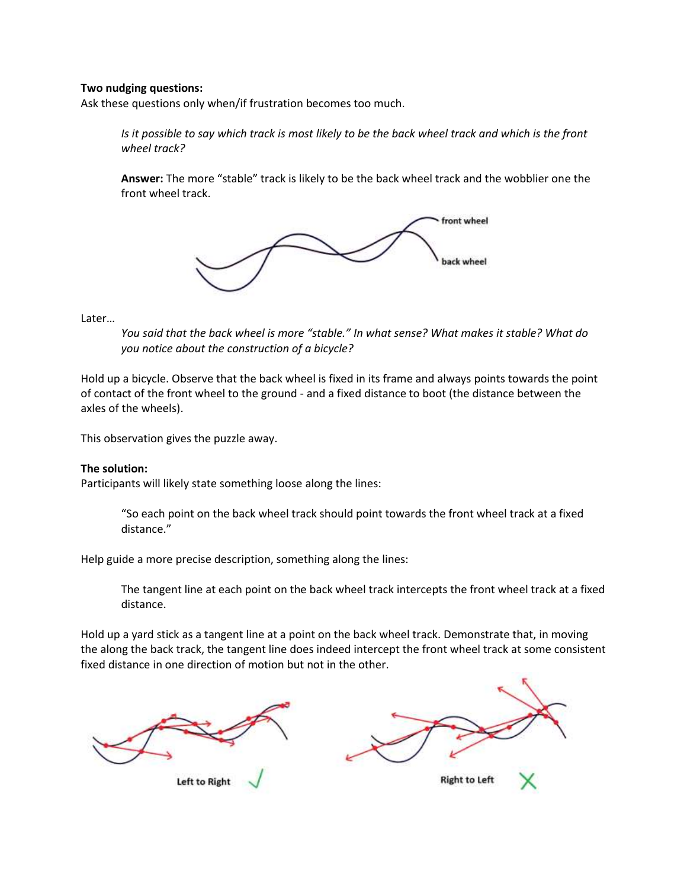#### **Two nudging questions:**

Ask these questions only when/if frustration becomes too much.

*Is it possible to say which track is most likely to be the back wheel track and which is the front wheel track?*

**Answer:** The more "stable" track is likely to be the back wheel track and the wobblier one the front wheel track.



Later…

*You said that the back wheel is more "stable." In what sense? What makes it stable? What do you notice about the construction of a bicycle?*

Hold up a bicycle. Observe that the back wheel is fixed in its frame and always points towards the point of contact of the front wheel to the ground - and a fixed distance to boot (the distance between the axles of the wheels).

This observation gives the puzzle away.

#### **The solution:**

Participants will likely state something loose along the lines:

"So each point on the back wheel track should point towards the front wheel track at a fixed distance."

Help guide a more precise description, something along the lines:

The tangent line at each point on the back wheel track intercepts the front wheel track at a fixed distance.

Hold up a yard stick as a tangent line at a point on the back wheel track. Demonstrate that, in moving the along the back track, the tangent line does indeed intercept the front wheel track at some consistent fixed distance in one direction of motion but not in the other.

Left to Right

**Right to Left**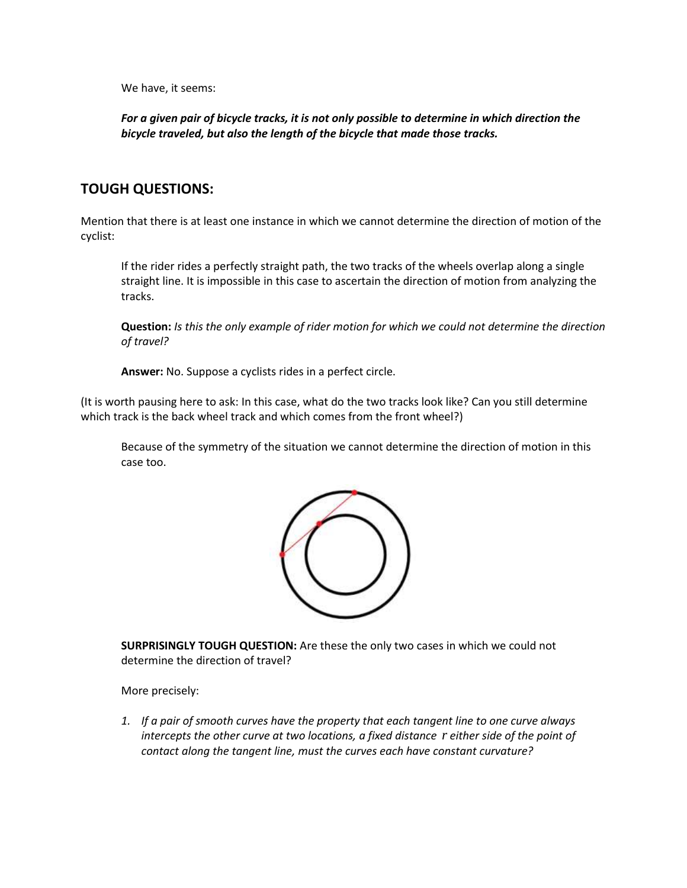We have, it seems:

*For a given pair of bicycle tracks, it is not only possible to determine in which direction the bicycle traveled, but also the length of the bicycle that made those tracks.*

## **TOUGH QUESTIONS:**

Mention that there is at least one instance in which we cannot determine the direction of motion of the cyclist:

If the rider rides a perfectly straight path, the two tracks of the wheels overlap along a single straight line. It is impossible in this case to ascertain the direction of motion from analyzing the tracks.

**Question:** *Is this the only example of rider motion for which we could not determine the direction of travel?*

**Answer:** No. Suppose a cyclists rides in a perfect circle.

(It is worth pausing here to ask: In this case, what do the two tracks look like? Can you still determine which track is the back wheel track and which comes from the front wheel?)

Because of the symmetry of the situation we cannot determine the direction of motion in this case too.



**SURPRISINGLY TOUGH QUESTION:** Are these the only two cases in which we could not determine the direction of travel?

More precisely:

*1. If a pair of smooth curves have the property that each tangent line to one curve always intercepts the other curve at two locations, a fixed distance r either side of the point of contact along the tangent line, must the curves each have constant curvature?*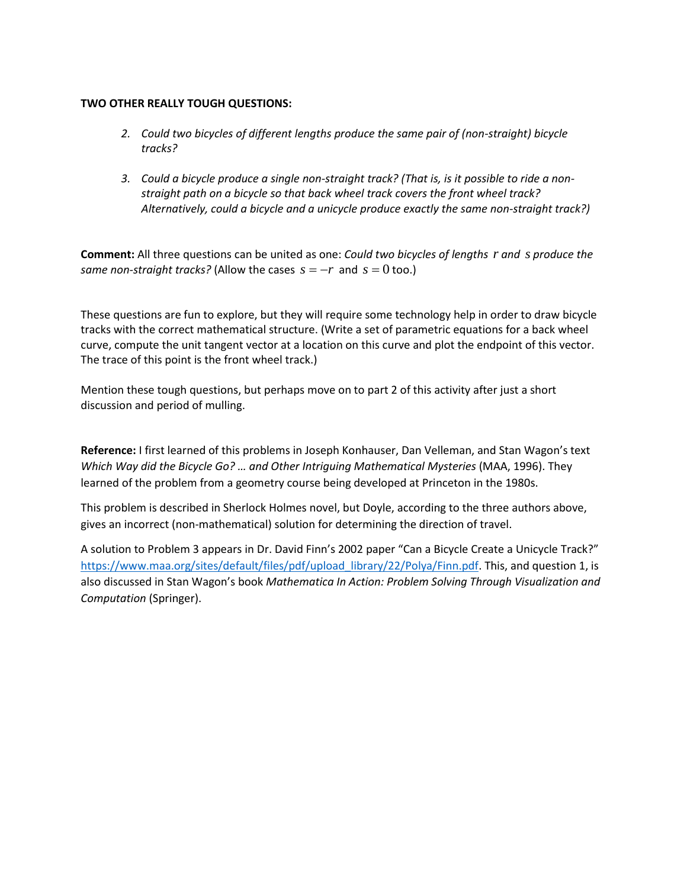#### **TWO OTHER REALLY TOUGH QUESTIONS:**

- *2. Could two bicycles of different lengths produce the same pair of (non-straight) bicycle tracks?*
- *3. Could a bicycle produce a single non-straight track? (That is, is it possible to ride a nonstraight path on a bicycle so that back wheel track covers the front wheel track? Alternatively, could a bicycle and a unicycle produce exactly the same non-straight track?)*

**Comment:** All three questions can be united as one: *Could two bicycles of lengths r and s produce the same non-straight tracks?* (Allow the cases  $s = -r$  and  $s = 0$  too.)

These questions are fun to explore, but they will require some technology help in order to draw bicycle tracks with the correct mathematical structure. (Write a set of parametric equations for a back wheel curve, compute the unit tangent vector at a location on this curve and plot the endpoint of this vector. The trace of this point is the front wheel track.)

Mention these tough questions, but perhaps move on to part 2 of this activity after just a short discussion and period of mulling.

**Reference:** I first learned of this problems in Joseph Konhauser, Dan Velleman, and Stan Wagon's text *Which Way did the Bicycle Go? ... and Other Intriguing Mathematical Mysteries (MAA, 1996). They* learned of the problem from a geometry course being developed at Princeton in the 1980s.

This problem is described in Sherlock Holmes novel, but Doyle, according to the three authors above, gives an incorrect (non-mathematical) solution for determining the direction of travel.

A solution to Problem 3 appears in Dr. David Finn's 2002 paper "Can a Bicycle Create a Unicycle Track?" [https://www.maa.org/sites/default/files/pdf/upload\\_library/22/Polya/Finn.pdf.](https://www.maa.org/sites/default/files/pdf/upload_library/22/Polya/Finn.pdf) This, and question 1, is also discussed in Stan Wagon's book *Mathematica In Action: Problem Solving Through Visualization and Computation* (Springer).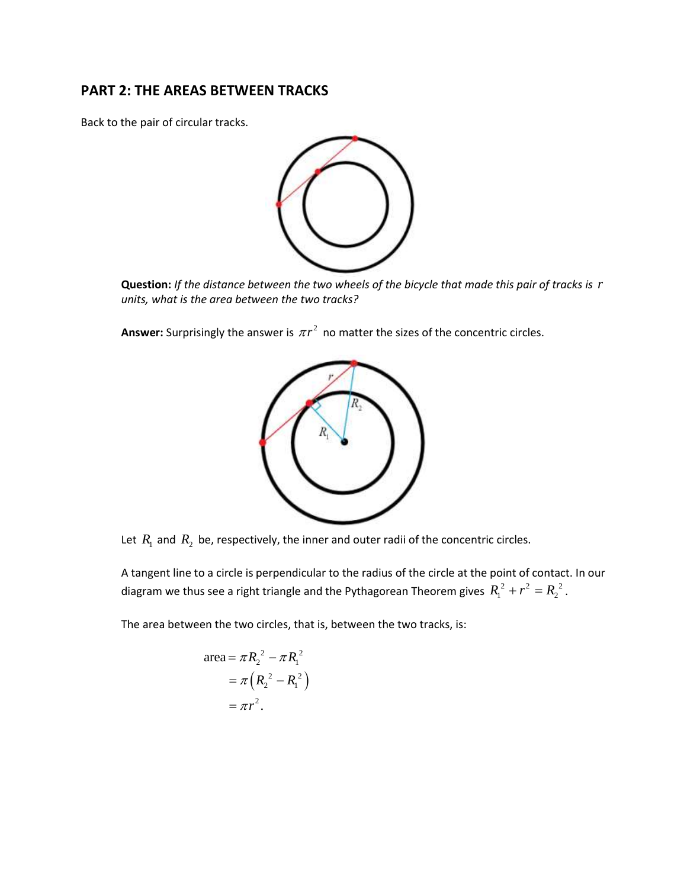## **PART 2: THE AREAS BETWEEN TRACKS**

Back to the pair of circular tracks.



**Question:** *If the distance between the two wheels of the bicycle that made this pair of tracks is r units, what is the area between the two tracks?*

**Answer:** Surprisingly the answer is  $\pi r^2$  no matter the sizes of the concentric circles.



Let  $R_1$  and  $R_2$  be, respectively, the inner and outer radii of the concentric circles.

A tangent line to a circle is perpendicular to the radius of the circle at the point of contact. In our diagram we thus see a right triangle and the Pythagorean Theorem gives  $\,R_{\rm l}^{\,2} + r^2 = R_{\rm 2}^{\,\,2}$  .

The area between the two circles, that is, between the two tracks, is:

$$
\text{area} = \pi R_2^2 - \pi R_1^2
$$

$$
= \pi \left( R_2^2 - R_1^2 \right)
$$

$$
= \pi r^2.
$$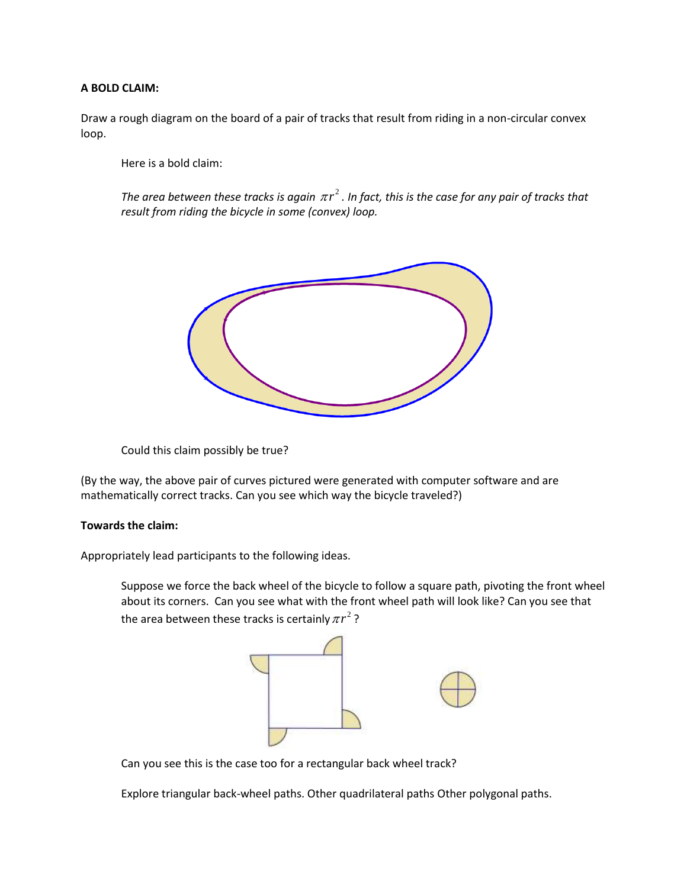#### **A BOLD CLAIM:**

Draw a rough diagram on the board of a pair of tracks that result from riding in a non-circular convex loop.

Here is a bold claim:

The area between these tracks is again  $\pi r^2$  . In fact, this is the case for any pair of tracks that *result from riding the bicycle in some (convex) loop.* 



Could this claim possibly be true?

(By the way, the above pair of curves pictured were generated with computer software and are mathematically correct tracks. Can you see which way the bicycle traveled?)

#### **Towards the claim:**

Appropriately lead participants to the following ideas.

Suppose we force the back wheel of the bicycle to follow a square path, pivoting the front wheel about its corners. Can you see what with the front wheel path will look like? Can you see that the area between these tracks is certainly  $\pi r^2$  ?



Can you see this is the case too for a rectangular back wheel track?

Explore triangular back-wheel paths. Other quadrilateral paths Other polygonal paths.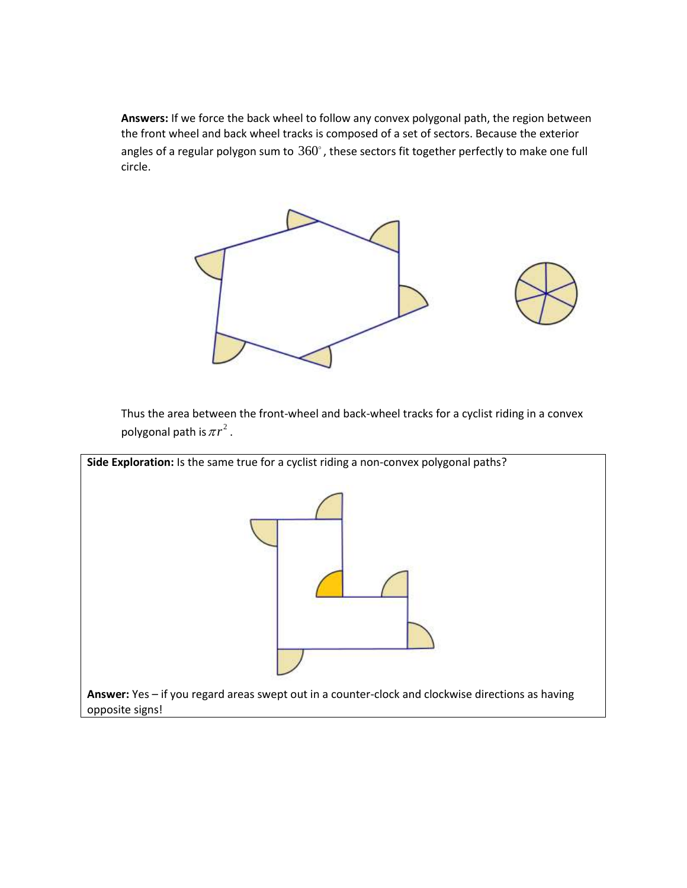**Answers:** If we force the back wheel to follow any convex polygonal path, the region between the front wheel and back wheel tracks is composed of a set of sectors. Because the exterior angles of a regular polygon sum to  $360^{\circ}$  , these sectors fit together perfectly to make one full circle.



Thus the area between the front-wheel and back-wheel tracks for a cyclist riding in a convex polygonal path is  $\pi r^2$  .

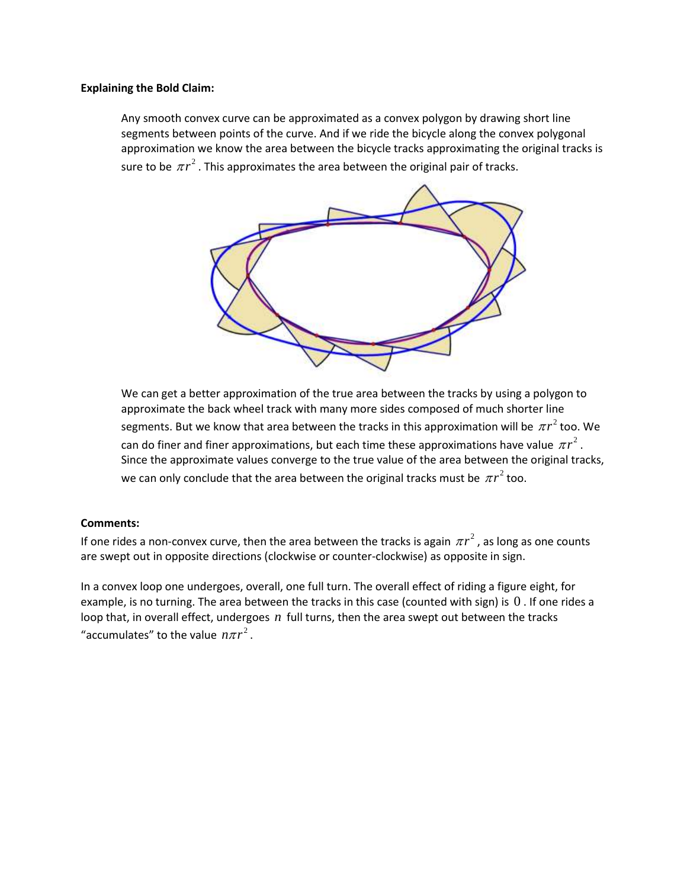#### **Explaining the Bold Claim:**

Any smooth convex curve can be approximated as a convex polygon by drawing short line segments between points of the curve. And if we ride the bicycle along the convex polygonal approximation we know the area between the bicycle tracks approximating the original tracks is sure to be  $\pi r^2$  . This approximates the area between the original pair of tracks.



We can get a better approximation of the true area between the tracks by using a polygon to approximate the back wheel track with many more sides composed of much shorter line segments. But we know that area between the tracks in this approximation will be  $\pi r^2$  too. We can do finer and finer approximations, but each time these approximations have value  $\pi r^2$  . Since the approximate values converge to the true value of the area between the original tracks, we can only conclude that the area between the original tracks must be  $\pi r^2$  too.

#### **Comments:**

If one rides a non-convex curve, then the area between the tracks is again  $\pi r^2$  , as long as one counts are swept out in opposite directions (clockwise or counter-clockwise) as opposite in sign.

In a convex loop one undergoes, overall, one full turn. The overall effect of riding a figure eight, for example, is no turning. The area between the tracks in this case (counted with sign) is 0 . If one rides a loop that, in overall effect, undergoes  $n$  full turns, then the area swept out between the tracks "accumulates" to the value  $n\pi r^2$ .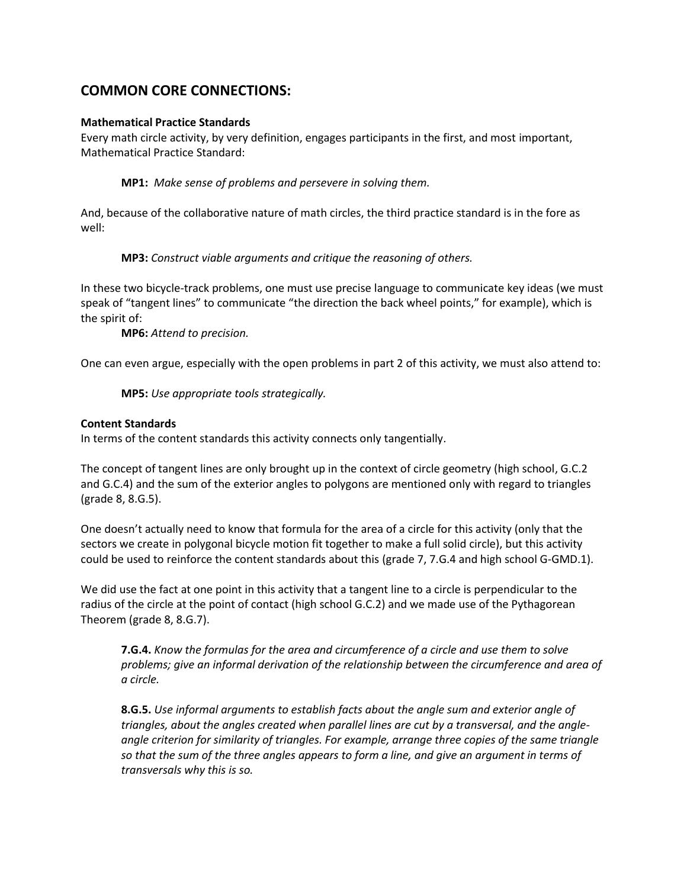## **COMMON CORE CONNECTIONS:**

#### **Mathematical Practice Standards**

Every math circle activity, by very definition, engages participants in the first, and most important, Mathematical Practice Standard:

**MP1:** *Make sense of problems and persevere in solving them.*

And, because of the collaborative nature of math circles, the third practice standard is in the fore as well:

**MP3:** *Construct viable arguments and critique the reasoning of others.*

In these two bicycle-track problems, one must use precise language to communicate key ideas (we must speak of "tangent lines" to communicate "the direction the back wheel points," for example), which is the spirit of:

**MP6:** *Attend to precision.* 

One can even argue, especially with the open problems in part 2 of this activity, we must also attend to:

**MP5:** *Use appropriate tools strategically.* 

#### **Content Standards**

In terms of the content standards this activity connects only tangentially.

The concept of tangent lines are only brought up in the context of circle geometry (high school, G.C.2 and G.C.4) and the sum of the exterior angles to polygons are mentioned only with regard to triangles (grade 8, 8.G.5).

One doesn't actually need to know that formula for the area of a circle for this activity (only that the sectors we create in polygonal bicycle motion fit together to make a full solid circle), but this activity could be used to reinforce the content standards about this (grade 7, 7.G.4 and high school G-GMD.1).

We did use the fact at one point in this activity that a tangent line to a circle is perpendicular to the radius of the circle at the point of contact (high school G.C.2) and we made use of the Pythagorean Theorem (grade 8, 8.G.7).

**7.G.4.** *Know the formulas for the area and circumference of a circle and use them to solve problems; give an informal derivation of the relationship between the circumference and area of a circle.*

**8.G.5.** *Use informal arguments to establish facts about the angle sum and exterior angle of triangles, about the angles created when parallel lines are cut by a transversal, and the angleangle criterion for similarity of triangles. For example, arrange three copies of the same triangle so that the sum of the three angles appears to form a line, and give an argument in terms of transversals why this is so.*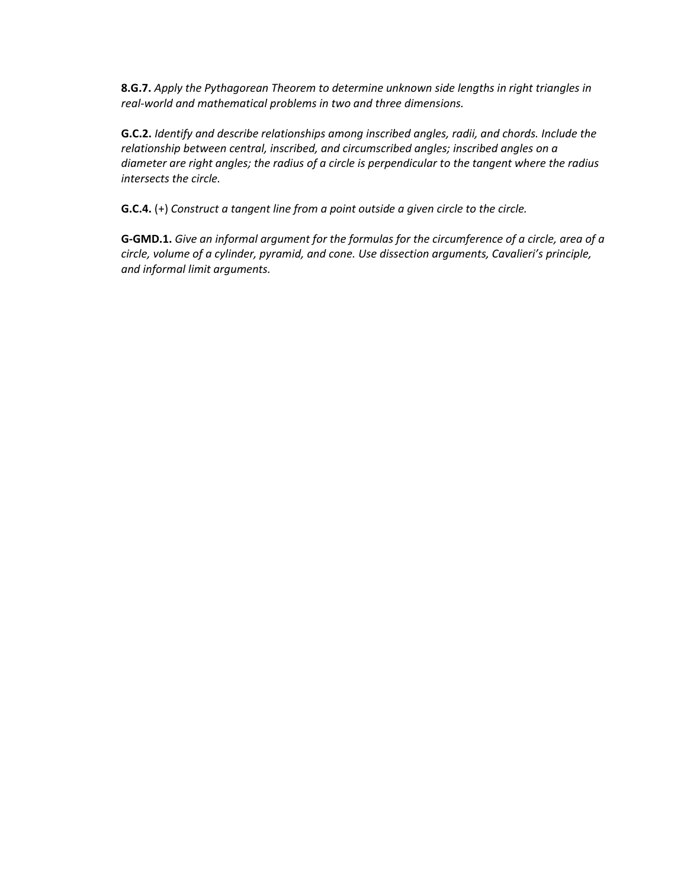**8.G.7.** *Apply the Pythagorean Theorem to determine unknown side lengths in right triangles in real-world and mathematical problems in two and three dimensions.*

**G.C.2.** *Identify and describe relationships among inscribed angles, radii, and chords. Include the relationship between central, inscribed, and circumscribed angles; inscribed angles on a diameter are right angles; the radius of a circle is perpendicular to the tangent where the radius intersects the circle.*

**G.C.4.** (+) *Construct a tangent line from a point outside a given circle to the circle.*

**G-GMD.1.** *Give an informal argument for the formulas for the circumference of a circle, area of a circle, volume of a cylinder, pyramid, and cone. Use dissection arguments, Cavalieri's principle, and informal limit arguments.*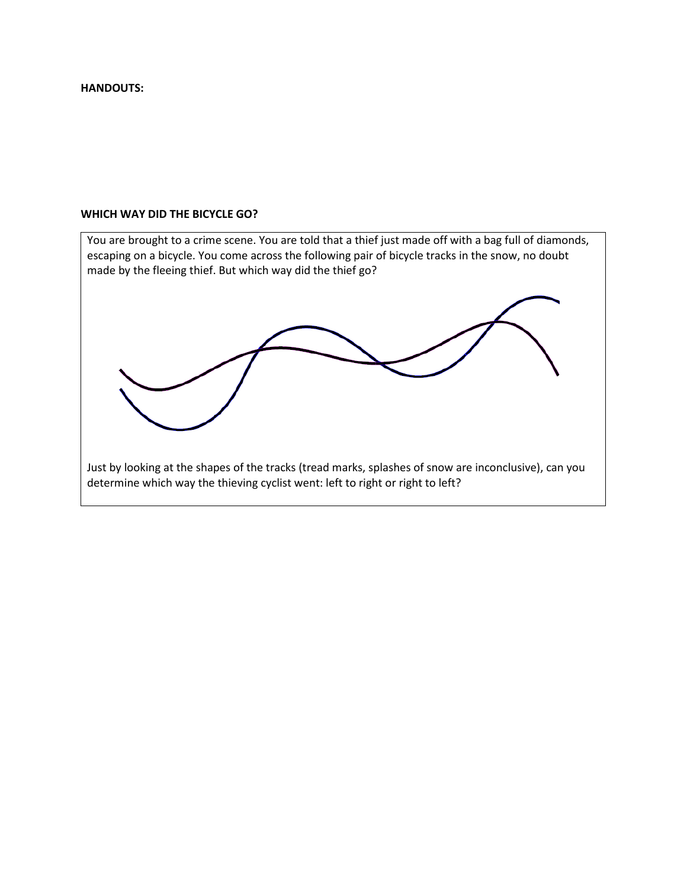#### **HANDOUTS:**

#### **WHICH WAY DID THE BICYCLE GO?**